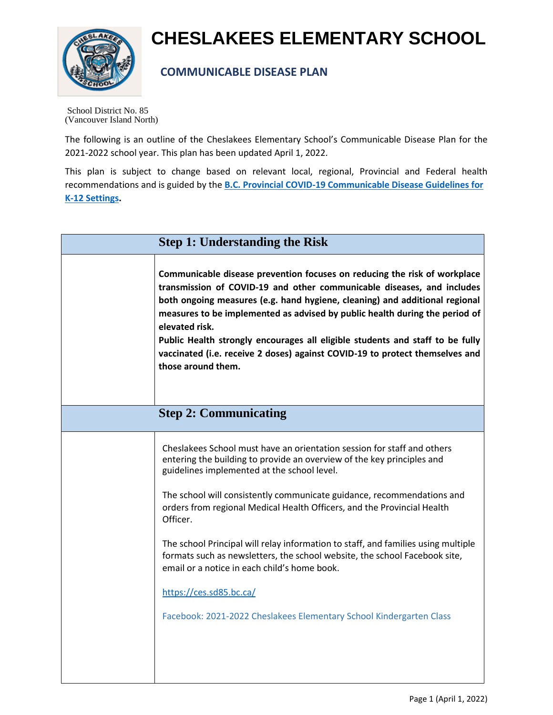

## **CHESLAKEES ELEMENTARY SCHOOL**

## **COMMUNICABLE DISEASE PLAN**

School District No. 85 (Vancouver Island North)

The following is an outline of the Cheslakees Elementary School's Communicable Disease Plan for the 2021-2022 school year. This plan has been updated April 1, 2022.

This plan is subject to change based on relevant local, regional, Provincial and Federal health recommendations and is guided by the **[B.C. Provincial COVID-19 Communicable Disease Guidelines for](https://www2.gov.bc.ca/assets/gov/education/administration/kindergarten-to-grade-12/safe-caring-orderly/k-12-covid-19-health-safety-guidlines.pdf?bcgovtm=20210311_GCPE_Vizeum_COVID___Google_Search_BCGOV_EN_BC__Text) [K-12 Settings.](https://www2.gov.bc.ca/assets/gov/education/administration/kindergarten-to-grade-12/safe-caring-orderly/k-12-covid-19-health-safety-guidlines.pdf?bcgovtm=20210311_GCPE_Vizeum_COVID___Google_Search_BCGOV_EN_BC__Text)**

| <b>Step 1: Understanding the Risk</b> |                                                                                                                                                                                                                                                                                                                                                                                                                                                                                                                                                                                                                                                                                        |  |
|---------------------------------------|----------------------------------------------------------------------------------------------------------------------------------------------------------------------------------------------------------------------------------------------------------------------------------------------------------------------------------------------------------------------------------------------------------------------------------------------------------------------------------------------------------------------------------------------------------------------------------------------------------------------------------------------------------------------------------------|--|
|                                       | Communicable disease prevention focuses on reducing the risk of workplace<br>transmission of COVID-19 and other communicable diseases, and includes<br>both ongoing measures (e.g. hand hygiene, cleaning) and additional regional<br>measures to be implemented as advised by public health during the period of<br>elevated risk.<br>Public Health strongly encourages all eligible students and staff to be fully<br>vaccinated (i.e. receive 2 doses) against COVID-19 to protect themselves and<br>those around them.                                                                                                                                                             |  |
|                                       | <b>Step 2: Communicating</b>                                                                                                                                                                                                                                                                                                                                                                                                                                                                                                                                                                                                                                                           |  |
|                                       | Cheslakees School must have an orientation session for staff and others<br>entering the building to provide an overview of the key principles and<br>guidelines implemented at the school level.<br>The school will consistently communicate guidance, recommendations and<br>orders from regional Medical Health Officers, and the Provincial Health<br>Officer.<br>The school Principal will relay information to staff, and families using multiple<br>formats such as newsletters, the school website, the school Facebook site,<br>email or a notice in each child's home book.<br>https://ces.sd85.bc.ca/<br>Facebook: 2021-2022 Cheslakees Elementary School Kindergarten Class |  |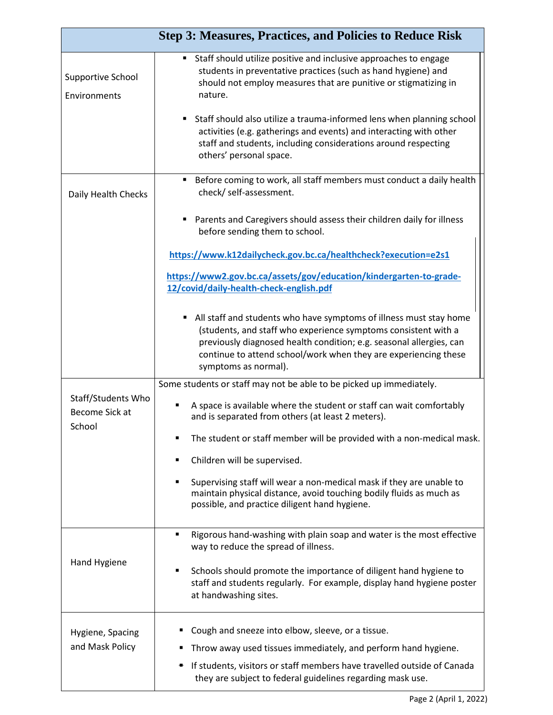|                                          | <b>Step 3: Measures, Practices, and Policies to Reduce Risk</b>                                                                                                                                                                                                                                                                                                                                                                  |
|------------------------------------------|----------------------------------------------------------------------------------------------------------------------------------------------------------------------------------------------------------------------------------------------------------------------------------------------------------------------------------------------------------------------------------------------------------------------------------|
| <b>Supportive School</b><br>Environments | Staff should utilize positive and inclusive approaches to engage<br>students in preventative practices (such as hand hygiene) and<br>should not employ measures that are punitive or stigmatizing in<br>nature.<br>Staff should also utilize a trauma-informed lens when planning school<br>activities (e.g. gatherings and events) and interacting with other<br>staff and students, including considerations around respecting |
|                                          | others' personal space.                                                                                                                                                                                                                                                                                                                                                                                                          |
| Daily Health Checks                      | Before coming to work, all staff members must conduct a daily health<br>check/ self-assessment.                                                                                                                                                                                                                                                                                                                                  |
|                                          | Parents and Caregivers should assess their children daily for illness<br>before sending them to school.                                                                                                                                                                                                                                                                                                                          |
|                                          | https://www.k12dailycheck.gov.bc.ca/healthcheck?execution=e2s1                                                                                                                                                                                                                                                                                                                                                                   |
|                                          | https://www2.gov.bc.ca/assets/gov/education/kindergarten-to-grade-<br>12/covid/daily-health-check-english.pdf                                                                                                                                                                                                                                                                                                                    |
|                                          | All staff and students who have symptoms of illness must stay home<br>(students, and staff who experience symptoms consistent with a<br>previously diagnosed health condition; e.g. seasonal allergies, can<br>continue to attend school/work when they are experiencing these<br>symptoms as normal).                                                                                                                           |
| Staff/Students Who                       | Some students or staff may not be able to be picked up immediately.                                                                                                                                                                                                                                                                                                                                                              |
| Become Sick at<br>School                 | A space is available where the student or staff can wait comfortably<br>٠<br>and is separated from others (at least 2 meters).                                                                                                                                                                                                                                                                                                   |
|                                          | The student or staff member will be provided with a non-medical mask.<br>٠<br>Children will be supervised.<br>٠                                                                                                                                                                                                                                                                                                                  |
|                                          | Supervising staff will wear a non-medical mask if they are unable to<br>٠<br>maintain physical distance, avoid touching bodily fluids as much as<br>possible, and practice diligent hand hygiene.                                                                                                                                                                                                                                |
| Hand Hygiene                             | Rigorous hand-washing with plain soap and water is the most effective<br>٠<br>way to reduce the spread of illness.                                                                                                                                                                                                                                                                                                               |
|                                          | Schools should promote the importance of diligent hand hygiene to<br>٠<br>staff and students regularly. For example, display hand hygiene poster<br>at handwashing sites.                                                                                                                                                                                                                                                        |
| Hygiene, Spacing                         | Cough and sneeze into elbow, sleeve, or a tissue.                                                                                                                                                                                                                                                                                                                                                                                |
| and Mask Policy                          | Throw away used tissues immediately, and perform hand hygiene.                                                                                                                                                                                                                                                                                                                                                                   |
|                                          | If students, visitors or staff members have travelled outside of Canada<br>they are subject to federal guidelines regarding mask use.                                                                                                                                                                                                                                                                                            |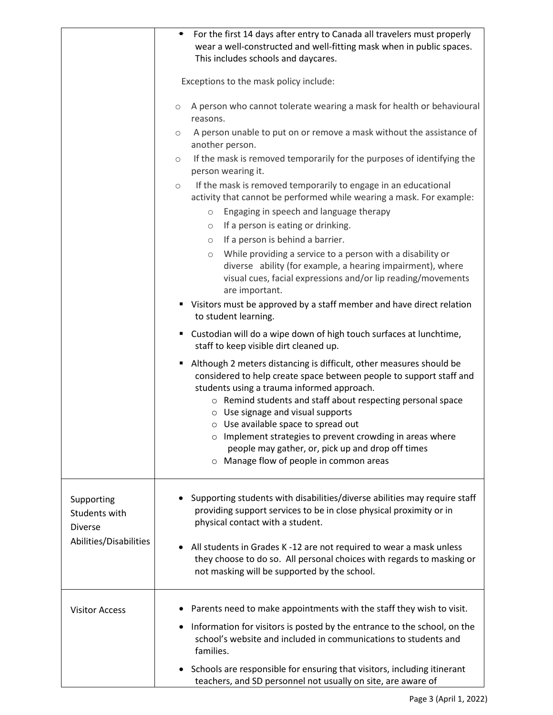|                                                                         | For the first 14 days after entry to Canada all travelers must properly<br>٠<br>wear a well-constructed and well-fitting mask when in public spaces.<br>This includes schools and daycares.                                                                                                                                                                                                                                                                                                                  |
|-------------------------------------------------------------------------|--------------------------------------------------------------------------------------------------------------------------------------------------------------------------------------------------------------------------------------------------------------------------------------------------------------------------------------------------------------------------------------------------------------------------------------------------------------------------------------------------------------|
|                                                                         | Exceptions to the mask policy include:                                                                                                                                                                                                                                                                                                                                                                                                                                                                       |
|                                                                         | A person who cannot tolerate wearing a mask for health or behavioural<br>$\circ$<br>reasons.                                                                                                                                                                                                                                                                                                                                                                                                                 |
|                                                                         | A person unable to put on or remove a mask without the assistance of<br>$\circ$<br>another person.                                                                                                                                                                                                                                                                                                                                                                                                           |
|                                                                         | If the mask is removed temporarily for the purposes of identifying the<br>$\circ$<br>person wearing it.                                                                                                                                                                                                                                                                                                                                                                                                      |
|                                                                         | If the mask is removed temporarily to engage in an educational<br>$\circ$<br>activity that cannot be performed while wearing a mask. For example:<br>Engaging in speech and language therapy<br>$\circ$<br>If a person is eating or drinking.<br>$\circ$<br>If a person is behind a barrier.<br>$\circlearrowright$<br>While providing a service to a person with a disability or<br>$\circlearrowright$                                                                                                     |
|                                                                         | diverse ability (for example, a hearing impairment), where<br>visual cues, facial expressions and/or lip reading/movements<br>are important.                                                                                                                                                                                                                                                                                                                                                                 |
|                                                                         | • Visitors must be approved by a staff member and have direct relation<br>to student learning.                                                                                                                                                                                                                                                                                                                                                                                                               |
|                                                                         | Custodian will do a wipe down of high touch surfaces at lunchtime,<br>staff to keep visible dirt cleaned up.                                                                                                                                                                                                                                                                                                                                                                                                 |
|                                                                         | Although 2 meters distancing is difficult, other measures should be<br>considered to help create space between people to support staff and<br>students using a trauma informed approach.<br>o Remind students and staff about respecting personal space<br>$\circ$ Use signage and visual supports<br>$\circ$ Use available space to spread out<br>o Implement strategies to prevent crowding in areas where<br>people may gather, or, pick up and drop off times<br>o Manage flow of people in common areas |
| Supporting<br>Students with<br><b>Diverse</b><br>Abilities/Disabilities | Supporting students with disabilities/diverse abilities may require staff<br>providing support services to be in close physical proximity or in<br>physical contact with a student.                                                                                                                                                                                                                                                                                                                          |
|                                                                         | All students in Grades K -12 are not required to wear a mask unless<br>they choose to do so. All personal choices with regards to masking or<br>not masking will be supported by the school.                                                                                                                                                                                                                                                                                                                 |
| <b>Visitor Access</b>                                                   | Parents need to make appointments with the staff they wish to visit.<br>• Information for visitors is posted by the entrance to the school, on the<br>school's website and included in communications to students and<br>families.                                                                                                                                                                                                                                                                           |
|                                                                         | Schools are responsible for ensuring that visitors, including itinerant<br>teachers, and SD personnel not usually on site, are aware of                                                                                                                                                                                                                                                                                                                                                                      |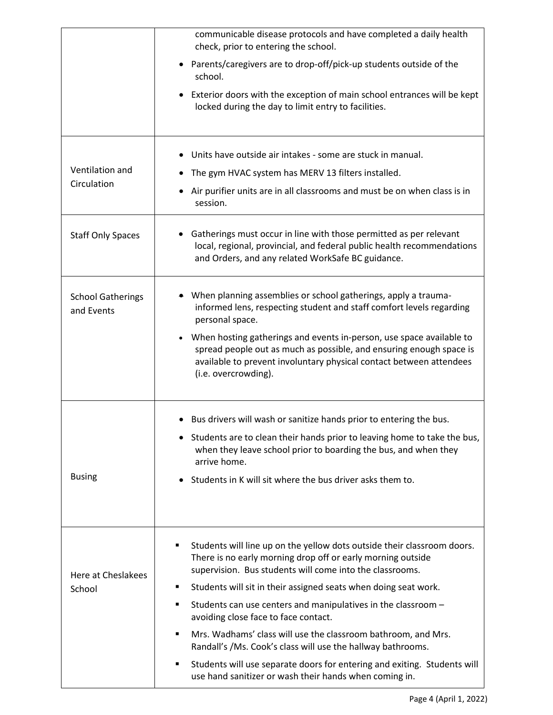|                                        | communicable disease protocols and have completed a daily health<br>check, prior to entering the school.                                                                                                                                   |
|----------------------------------------|--------------------------------------------------------------------------------------------------------------------------------------------------------------------------------------------------------------------------------------------|
|                                        | • Parents/caregivers are to drop-off/pick-up students outside of the<br>school.                                                                                                                                                            |
|                                        | • Exterior doors with the exception of main school entrances will be kept<br>locked during the day to limit entry to facilities.                                                                                                           |
|                                        | • Units have outside air intakes - some are stuck in manual.                                                                                                                                                                               |
| Ventilation and                        | The gym HVAC system has MERV 13 filters installed.                                                                                                                                                                                         |
| Circulation                            | • Air purifier units are in all classrooms and must be on when class is in<br>session.                                                                                                                                                     |
| <b>Staff Only Spaces</b>               | Gatherings must occur in line with those permitted as per relevant<br>local, regional, provincial, and federal public health recommendations<br>and Orders, and any related WorkSafe BC guidance.                                          |
| <b>School Gatherings</b><br>and Events | • When planning assemblies or school gatherings, apply a trauma-<br>informed lens, respecting student and staff comfort levels regarding<br>personal space.                                                                                |
|                                        | When hosting gatherings and events in-person, use space available to<br>spread people out as much as possible, and ensuring enough space is<br>available to prevent involuntary physical contact between attendees<br>(i.e. overcrowding). |
|                                        | • Bus drivers will wash or sanitize hands prior to entering the bus.                                                                                                                                                                       |
|                                        | Students are to clean their hands prior to leaving home to take the bus,<br>when they leave school prior to boarding the bus, and when they<br>arrive home.                                                                                |
| <b>Busing</b>                          | Students in K will sit where the bus driver asks them to.                                                                                                                                                                                  |
|                                        |                                                                                                                                                                                                                                            |
| Here at Cheslakees                     | Students will line up on the yellow dots outside their classroom doors.<br>٠<br>There is no early morning drop off or early morning outside<br>supervision. Bus students will come into the classrooms.                                    |
| School                                 | Students will sit in their assigned seats when doing seat work.<br>٠                                                                                                                                                                       |
|                                        | Students can use centers and manipulatives in the classroom -<br>٠<br>avoiding close face to face contact.                                                                                                                                 |
|                                        | Mrs. Wadhams' class will use the classroom bathroom, and Mrs.<br>$\blacksquare$<br>Randall's /Ms. Cook's class will use the hallway bathrooms.                                                                                             |
|                                        | Students will use separate doors for entering and exiting. Students will<br>٠<br>use hand sanitizer or wash their hands when coming in.                                                                                                    |